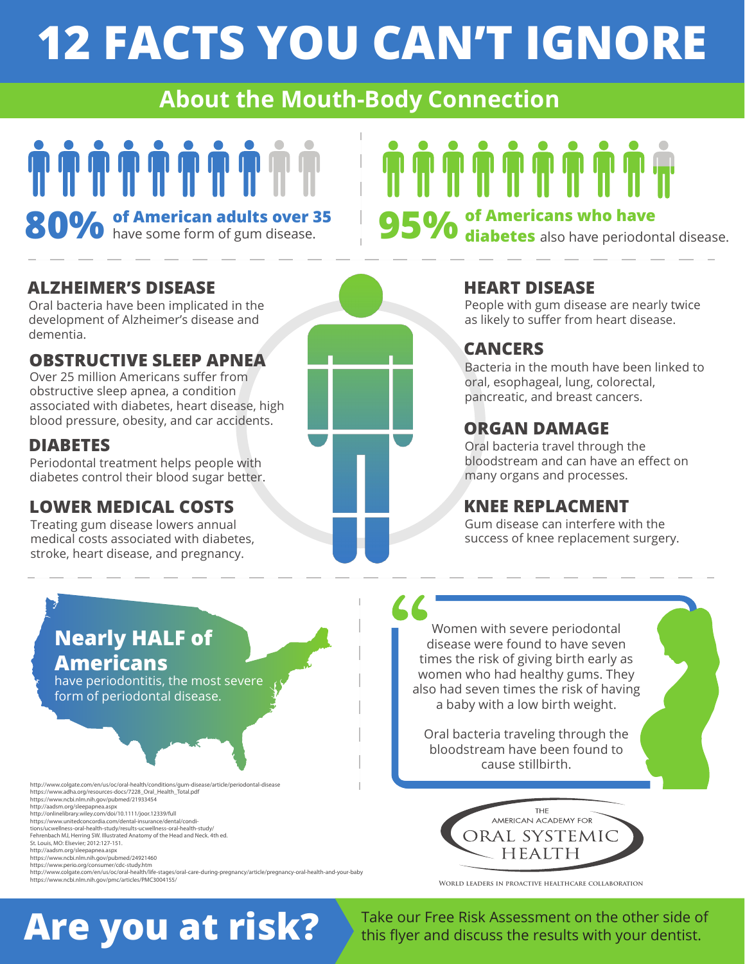## **12 FACTS YOU CAN'T IGNORE**

#### **About the Mouth-Body Connection**

# 

**80%** of American adults over 35

**95%** of Americans who have **95%** diabetes also have periodontal disease.

#### **ALZHEIMER'S DISEASE**

Oral bacteria have been implicated in the development of Alzheimer's disease and dementia.

#### **OBSTRUCTIVE SLEEP APNEA**

Over 25 million Americans suffer from obstructive sleep apnea, a condition associated with diabetes, heart disease, high blood pressure, obesity, and car accidents.

#### **DIABETES**

Periodontal treatment helps people with diabetes control their blood sugar better.

#### **LOWER MEDICAL COSTS**

Treating gum disease lowers annual medical costs associated with diabetes, stroke, heart disease, and pregnancy.



**44** 

#### **HEART DISEASE**

People with gum disease are nearly twice as likely to suffer from heart disease.

#### **CANCERS**

Bacteria in the mouth have been linked to oral, esophageal, lung, colorectal, pancreatic, and breast cancers.

#### **ORGAN DAMAGE**

Oral bacteria travel through the bloodstream and can have an effect on many organs and processes.

#### **KNEE REPLACMENT**

Gum disease can interfere with the success of knee replacement surgery.

#### **Nearly HALF of Americans**

have periodontitis, the most severe form of periodontal disease.

http://www.colgate.com/en/us/oc/oral-health/conditions/gum-disease/article/periodontal-disease https://www.adha.org/resources-docs/7228\_Oral\_Health\_Total.pdf<br>https://www.ncbi.nlm.nih.gov/pubmed/21933454<br>http://aadsm.org/sleepapnea.aspx<br>http://onlinelibrary.wiley.com/doi/10.1111/joor.12339/full https://www.unitedconcordia.com/dental-insurance/dental/condi-<br>tions/ucwellness-oral-health-study/results-ucwellness-oral-health-study/<br>Fehrenbach MJ, Herring SW. Illustrated Anatomy of the Head and Neck. 4th ed. St. Louis, MO: Elsevier; 2012:127-151. http://aadsm.org/sleepapnea.aspx https://www.ncbi.nlm.nih.gov/pubmed/24921460 https://www.perio.org/consumer/cdc-study.htm

http://www.colgate.com/en/us/oc/oral-health/life-stages/oral-care-during-pregnancy/article/pregnancy-oral-health-and-your-baby https://www.ncbi.nlm.nih.gov/pmc/articles/PMC3004155/

Women with severe periodontal disease were found to have seven times the risk of giving birth early as women who had healthy gums. They also had seven times the risk of having a baby with a low birth weight.

Oral bacteria traveling through the bloodstream have been found to cause stillbirth.



**World leaders in proactive healthcare collaboration**

**Are you at risk?**

Take our Free Risk Assessment on the other side of this flyer and discuss the results with your dentist.